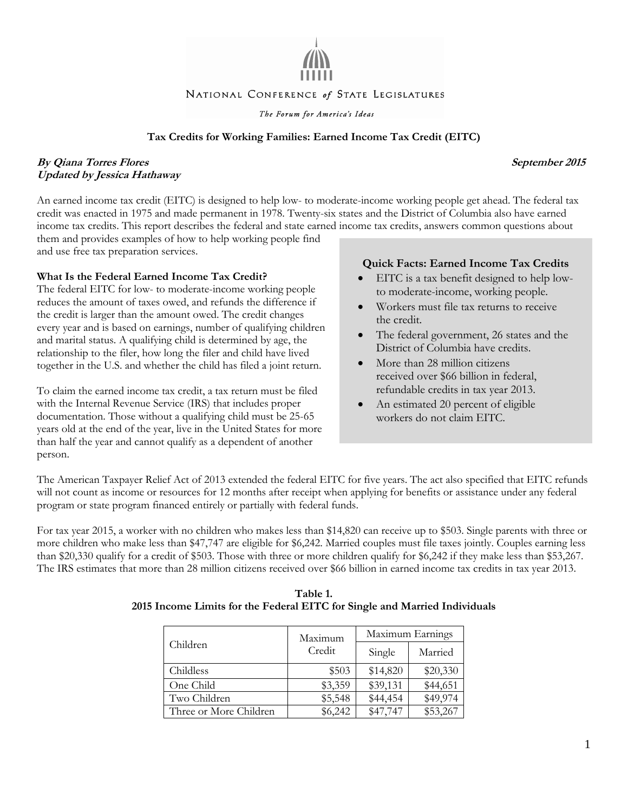

#### NATIONAL CONFERENCE of STATE LEGISLATURES

The Forum for America's Ideas

#### **Tax Credits for Working Families: Earned Income Tax Credit (EITC)**

### **By Qiana Torres Flores September 2015 Updated by Jessica Hathaway**

An earned income tax credit (EITC) is designed to help low- to moderate-income working people get ahead. The federal tax credit was enacted in 1975 and made permanent in 1978. Twenty-six states and the District of Columbia also have earned income tax credits. This report describes the federal and state earned income tax credits, answers common questions about them and provides examples of how to help working people find

and use free tax preparation services.

#### **What Is the Federal Earned Income Tax Credit?**

The federal EITC for low- to moderate-income working people reduces the amount of taxes owed, and refunds the difference if the credit is larger than the amount owed. The credit changes every year and is based on earnings, number of qualifying children and marital status. A qualifying child is determined by age, the relationship to the filer, how long the filer and child have lived together in the U.S. and whether the child has filed a joint return.

To claim the earned income tax credit, a tax return must be filed with the Internal Revenue Service (IRS) that includes proper documentation. Those without a qualifying child must be 25-65 years old at the end of the year, live in the United States for more than half the year and cannot qualify as a dependent of another person.

#### **Quick Facts: Earned Income Tax Credits**

- EITC is a tax benefit designed to help lowto moderate-income, working people.
- Workers must file tax returns to receive the credit.
- The federal government, 26 states and the District of Columbia have credits.
- More than 28 million citizens received over \$66 billion in federal, refundable credits in tax year 2013.
- An estimated 20 percent of eligible workers do not claim EITC.

The American Taxpayer Relief Act of 2013 extended the federal EITC for five years. The act also specified that EITC refunds will not count as income or resources for 12 months after receipt when applying for benefits or assistance under any federal program or state program financed entirely or partially with federal funds.

For tax year 2015, a worker with no children who makes less than \$14,820 can receive up to \$503. Single parents with three or more children who make less than \$47,747 are eligible for \$6,242. Married couples must file taxes jointly. Couples earning less than \$20,330 qualify for a credit of \$503. Those with three or more children qualify for \$6,242 if they make less than \$53,267. The IRS estimates that more than 28 million citizens received over \$66 billion in earned income tax credits in tax year 2013.

| Children               | Maximum<br>Credit | Maximum Earnings |          |
|------------------------|-------------------|------------------|----------|
|                        |                   | Single           | Married  |
| Childless              | \$503             | \$14,820         | \$20,330 |
| One Child              | \$3,359           | \$39,131         | \$44,651 |
| Two Children           | \$5,548           | \$44,454         | \$49,974 |
| Three or More Children | \$6,242           | \$47,747         | \$53,267 |

**Table 1. 2015 Income Limits for the Federal EITC for Single and Married Individuals**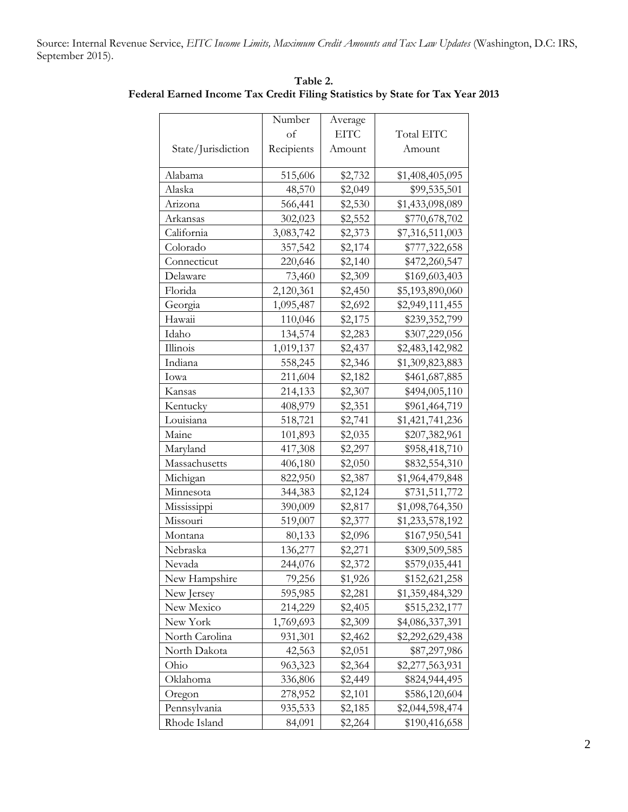Source: Internal Revenue Service, *EITC Income Limits, Maximum Credit Amounts and Tax Law Updates* (Washington, D.C: IRS, September 2015).

|                    | Number     | Average     |                 |
|--------------------|------------|-------------|-----------------|
|                    | of         | <b>EITC</b> | Total EITC      |
| State/Jurisdiction | Recipients | Amount      | Amount          |
| Alabama            | 515,606    | \$2,732     | \$1,408,405,095 |
| Alaska             | 48,570     | \$2,049     | \$99,535,501    |
| Arizona            | 566,441    | \$2,530     | \$1,433,098,089 |
| Arkansas           | 302,023    | \$2,552     | \$770,678,702   |
| California         | 3,083,742  | \$2,373     | \$7,316,511,003 |
| Colorado           | 357,542    | \$2,174     | \$777,322,658   |
| Connecticut        | 220,646    | \$2,140     | \$472,260,547   |
| Delaware           | 73,460     | \$2,309     | \$169,603,403   |
| Florida            | 2,120,361  | \$2,450     | \$5,193,890,060 |
| Georgia            | 1,095,487  | \$2,692     | \$2,949,111,455 |
| Hawaii             | 110,046    | \$2,175     | \$239,352,799   |
| Idaho              | 134,574    | \$2,283     | \$307,229,056   |
| Illinois           | 1,019,137  | \$2,437     | \$2,483,142,982 |
| Indiana            | 558,245    | \$2,346     | \$1,309,823,883 |
| Iowa               | 211,604    | \$2,182     | \$461,687,885   |
| Kansas             | 214,133    | \$2,307     | \$494,005,110   |
| Kentucky           | 408,979    | \$2,351     | \$961,464,719   |
| Louisiana          | 518,721    | \$2,741     | \$1,421,741,236 |
| Maine              | 101,893    | \$2,035     | \$207,382,961   |
| Maryland           | 417,308    | \$2,297     | \$958,418,710   |
| Massachusetts      | 406,180    | \$2,050     | \$832,554,310   |
| Michigan           | 822,950    | \$2,387     | \$1,964,479,848 |
| Minnesota          | 344,383    | \$2,124     | \$731,511,772   |
| Mississippi        | 390,009    | \$2,817     | \$1,098,764,350 |
| Missouri           | 519,007    | \$2,377     | \$1,233,578,192 |
| Montana            | 80,133     | \$2,096     | \$167,950,541   |
| Nebraska           | 136,277    | \$2,271     | \$309,509,585   |
| Nevada             | 244,076    | \$2,372     | \$579,035,441   |
| New Hampshire      | 79,256     | \$1,926     | \$152,621,258   |
| New Jersey         | 595,985    | \$2,281     | \$1,359,484,329 |
| New Mexico         | 214,229    | \$2,405     | \$515,232,177   |
| New York           | 1,769,693  | \$2,309     | \$4,086,337,391 |
| North Carolina     | 931,301    | \$2,462     | \$2,292,629,438 |
| North Dakota       | 42,563     | \$2,051     | \$87,297,986    |
| Ohio               | 963,323    | \$2,364     | \$2,277,563,931 |
| Oklahoma           | 336,806    | \$2,449     | \$824,944,495   |
| Oregon             | 278,952    | \$2,101     | \$586,120,604   |
| Pennsylvania       | 935,533    | \$2,185     | \$2,044,598,474 |
| Rhode Island       | 84,091     | \$2,264     | \$190,416,658   |

**Table 2. Federal Earned Income Tax Credit Filing Statistics by State for Tax Year 2013**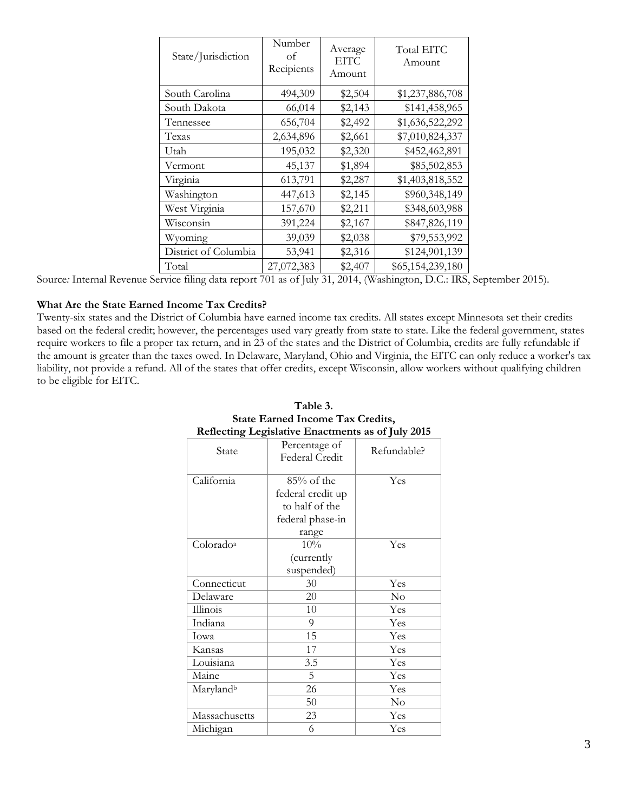| State/Jurisdiction   | Number<br>of<br>Recipients | Average<br><b>EITC</b><br>Amount | Total EITC<br>Amount |
|----------------------|----------------------------|----------------------------------|----------------------|
| South Carolina       | 494,309                    | \$2,504                          | \$1,237,886,708      |
| South Dakota         | 66,014                     | \$2,143                          | \$141,458,965        |
| Tennessee            | 656,704                    | \$2,492                          | \$1,636,522,292      |
| Texas                | 2,634,896                  | \$2,661                          | \$7,010,824,337      |
| Utah                 | 195,032                    | \$2,320                          | \$452,462,891        |
| Vermont              | 45,137                     | \$1,894                          | \$85,502,853         |
| Virginia             | 613,791                    | \$2,287                          | \$1,403,818,552      |
| Washington           | 447,613                    | \$2,145                          | \$960,348,149        |
| West Virginia        | 157,670                    | \$2,211                          | \$348,603,988        |
| Wisconsin            | 391,224                    | \$2,167                          | \$847,826,119        |
| Wyoming              | 39,039                     | \$2,038                          | \$79,553,992         |
| District of Columbia | 53,941                     | \$2,316                          | \$124,901,139        |
| Total                | 27,072,383                 | \$2,407                          | \$65,154,239,180     |

Source*:* Internal Revenue Service filing data report 701 as of July 31, 2014, (Washington, D.C.: IRS, September 2015).

#### **What Are the State Earned Income Tax Credits?**

Twenty-six states and the District of Columbia have earned income tax credits. All states except Minnesota set their credits based on the federal credit; however, the percentages used vary greatly from state to state. Like the federal government, states require workers to file a proper tax return, and in 23 of the states and the District of Columbia, credits are fully refundable if the amount is greater than the taxes owed. In Delaware, Maryland, Ohio and Virginia, the EITC can only reduce a worker's tax liability, not provide a refund. All of the states that offer credits, except Wisconsin, allow workers without qualifying children to be eligible for EITC.

|                       | rencemig Legislative Emacuments as of July 2010 |             |
|-----------------------|-------------------------------------------------|-------------|
| State                 | Percentage of<br>Federal Credit                 | Refundable? |
| California            | $85%$ of the                                    | Yes         |
|                       | federal credit up                               |             |
|                       | to half of the                                  |             |
|                       | federal phase-in                                |             |
|                       | range                                           |             |
| Colorado <sup>a</sup> | 10%                                             | Yes         |
|                       | (currently                                      |             |
|                       | suspended)                                      |             |
| Connecticut           | 30                                              | Yes         |
| Delaware              | 20                                              | No          |
| Illinois              | 10                                              | Yes         |
| Indiana               | 9                                               | Yes         |
| Iowa                  | 15                                              | Yes         |
| Kansas                | 17                                              | Yes         |
| Louisiana             | 3.5                                             | Yes         |
| Maine                 | 5                                               | Yes         |
| Marylandb             | 26                                              | Yes         |
|                       | 50                                              | No          |
| Massachusetts         | 23                                              | Yes         |
| Michigan              | 6                                               | Yes         |

#### **Table 3. State Earned Income Tax Credits, Reflecting Legislative Enactments as of July 2015**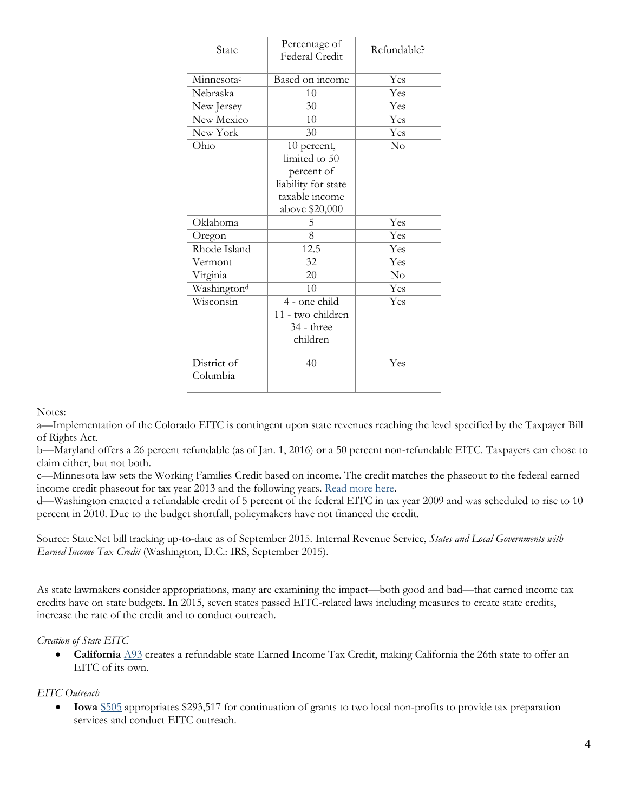| State                   | Percentage of<br>Federal Credit | Refundable? |
|-------------------------|---------------------------------|-------------|
| Minnesotac              | Based on income                 | Yes         |
| Nebraska                | 10                              | Yes         |
| New Jersey              | 30                              | Yes         |
| New Mexico              | 10                              | Yes         |
| New York                | 30                              | Yes         |
| Ohio                    | 10 percent,                     | No          |
|                         | limited to 50                   |             |
|                         | percent of                      |             |
|                         | liability for state             |             |
|                         | taxable income                  |             |
|                         | above \$20,000                  |             |
| Oklahoma                | 5                               | Yes         |
| Oregon                  | 8                               | Yes         |
| Rhode Island            | 12.5                            | Yes         |
| Vermont                 | 32                              | Yes         |
| Virginia                | 20                              | No          |
| Washington <sup>d</sup> | 10                              | Yes         |
| Wisconsin               | 4 - one child                   | Yes         |
|                         | 11 - two children               |             |
|                         | 34 - three                      |             |
|                         | children                        |             |
|                         |                                 |             |
| District of             | 40                              | Yes         |
| Columbia                |                                 |             |
|                         |                                 |             |

Notes:

a—Implementation of the Colorado EITC is contingent upon state revenues reaching the level specified by the Taxpayer Bill of Rights Act.

b—Maryland offers a 26 percent refundable (as of Jan. 1, 2016) or a 50 percent non-refundable EITC. Taxpayers can chose to claim either, but not both.

c—Minnesota law sets the Working Families Credit based on income. The credit matches the phaseout to the federal earned income credit phaseout for tax year 2013 and the following years. [Read more here.](http://www.revenue.state.mn.us/individuals/individ_income/Pages/Working_Family_Credit.aspx)

d—Washington enacted a refundable credit of 5 percent of the federal EITC in tax year 2009 and was scheduled to rise to 10 percent in 2010. Due to the budget shortfall, policymakers have not financed the credit.

Source: StateNet bill tracking up-to-date as of September 2015. Internal Revenue Service, *States and Local Governments with Earned Income Tax Credit* (Washington, D.C.: IRS, September 2015).

As state lawmakers consider appropriations, many are examining the impact—both good and bad—that earned income tax credits have on state budgets. In 2015, seven states passed EITC-related laws including measures to create state credits, increase the rate of the credit and to conduct outreach.

#### *Creation of State EITC*

 **California** [A93](http://www.leginfo.ca.gov/pub/15-16/bill/asm/ab_0051-0100/ab_93_bill_20150624_chaptered.pdf) creates a refundable state Earned Income Tax Credit, making California the 26th state to offer an EITC of its own.

#### *EITC Outreach*

 **Iowa** [S505](http://coolice.legis.iowa.gov/linc/86/external/govbills/SF505.pdf) appropriates \$293,517 for continuation of grants to two local non-profits to provide tax preparation services and conduct EITC outreach.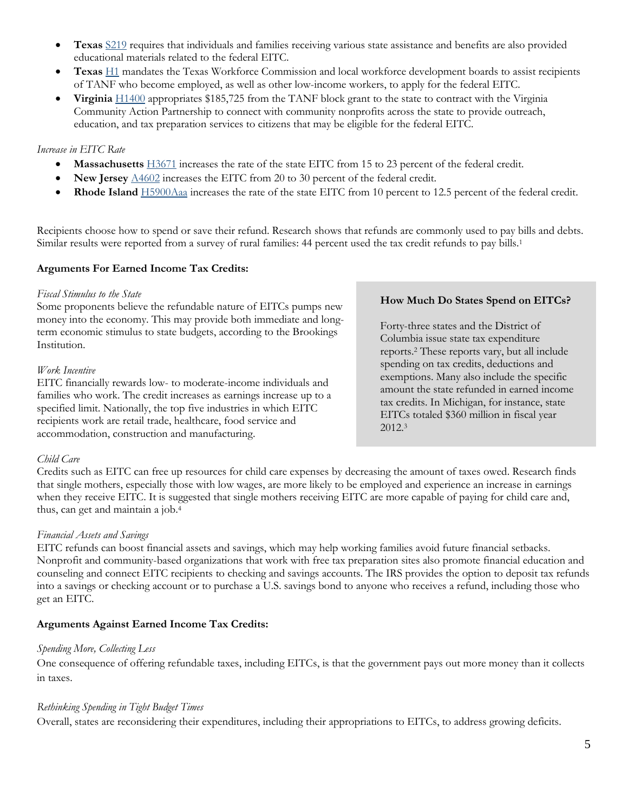- **Texas** [S219](http://www.legis.state.tx.us/tlodocs/84R/billtext/pdf/SB00219F.pdf#navpanes=0) requires that individuals and families receiving various state assistance and benefits are also provided educational materials related to the federal EITC.
- **Texas** [H1](http://www.capitol.state.tx.us/tlodocs/84R/billtext/pdf/HB00001F.pdf#navpanes=0) mandates the Texas Workforce Commission and local workforce development boards to assist recipients of TANF who become employed, as well as other low-income workers, to apply for the federal EITC.
- **Virginia** [H1400](http://lis.virginia.gov/151/bud/hb1400er.pdf) appropriates \$185,725 from the TANF block grant to the state to contract with the Virginia Community Action Partnership to connect with community nonprofits across the state to provide outreach, education, and tax preparation services to citizens that may be eligible for the federal EITC.

## *Increase in EITC Rate*

- **Massachusetts** [H3671](https://malegislature.gov/Bills/189/House/H3671) increases the rate of the state EITC from 15 to 23 percent of the federal credit.
- **New Jersey** [A4602](http://www.njleg.state.nj.us/2014/Bills/PL15/73_.PDF) increases the EITC from 20 to 30 percent of the federal credit.
- **Rhode Island** [H5900Aaa](http://webserver.rilin.state.ri.us/BillText15/HouseText15/H5900Aaa.pdf) increases the rate of the state EITC from 10 percent to 12.5 percent of the federal credit.

Recipients choose how to spend or save their refund. Research shows that refunds are commonly used to pay bills and debts. Similar results were reported from a survey of rural families: 44 percent used the tax credit refunds to pay bills.<sup>1</sup>

## **Arguments For Earned Income Tax Credits:**

#### *Fiscal Stimulus to the State*

Some proponents believe the refundable nature of EITCs pumps new money into the economy. This may provide both immediate and longterm economic stimulus to state budgets, according to the Brookings Institution.

### *Work Incentive*

EITC financially rewards low- to moderate-income individuals and families who work. The credit increases as earnings increase up to a specified limit. Nationally, the top five industries in which EITC recipients work are retail trade, healthcare, food service and accommodation, construction and manufacturing.

### **How Much Do States Spend on EITCs?**

Forty-three states and the District of Columbia issue state tax expenditure reports.<sup>2</sup> These reports vary, but all include spending on tax credits, deductions and exemptions. Many also include the specific amount the state refunded in earned income tax credits. In Michigan, for instance, state EITCs totaled \$360 million in fiscal year 2012. 3

# *Child Care*

Credits such as EITC can free up resources for child care expenses by decreasing the amount of taxes owed. Research finds that single mothers, especially those with low wages, are more likely to be employed and experience an increase in earnings when they receive EITC. It is suggested that single mothers receiving EITC are more capable of paying for child care and, thus, can get and maintain a job.<sup>4</sup>

### *Financial Assets and Savings*

EITC refunds can boost financial assets and savings, which may help working families avoid future financial setbacks. Nonprofit and community-based organizations that work with free tax preparation sites also promote financial education and counseling and connect EITC recipients to checking and savings accounts. The IRS provides the option to deposit tax refunds into a savings or checking account or to purchase a U.S. savings bond to anyone who receives a refund, including those who get an EITC.

# **Arguments Against Earned Income Tax Credits:**

### *Spending More, Collecting Less*

One consequence of offering refundable taxes, including EITCs, is that the government pays out more money than it collects in taxes.

### *Rethinking Spending in Tight Budget Times*

Overall, states are reconsidering their expenditures, including their appropriations to EITCs, to address growing deficits.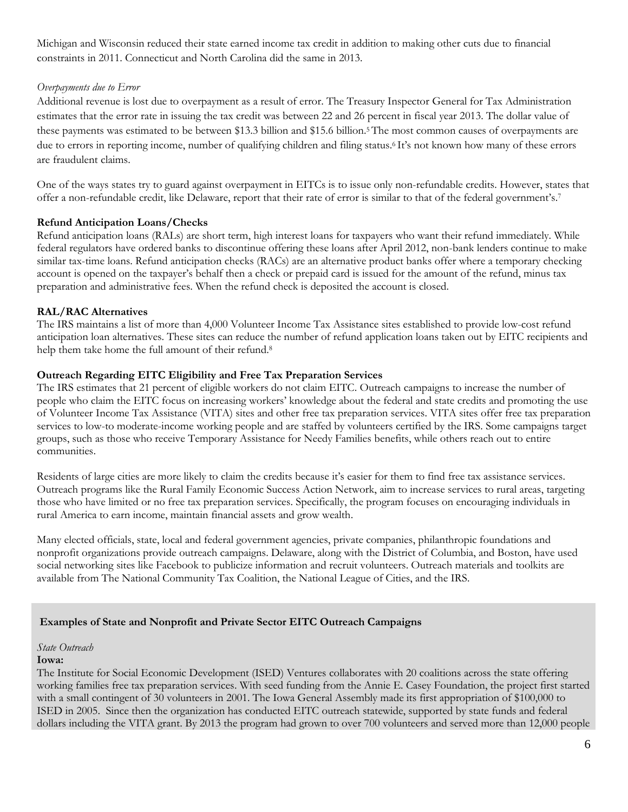Michigan and Wisconsin reduced their state earned income tax credit in addition to making other cuts due to financial constraints in 2011. Connecticut and North Carolina did the same in 2013.

# *Overpayments due to Error*

Additional revenue is lost due to overpayment as a result of error. The Treasury Inspector General for Tax Administration estimates that the error rate in issuing the tax credit was between 22 and 26 percent in fiscal year 2013. The dollar value of these payments was estimated to be between \$13.3 billion and \$15.6 billion.5The most common causes of overpayments are due to errors in reporting income, number of qualifying children and filing status. <sup>6</sup> It's not known how many of these errors are fraudulent claims.

One of the ways states try to guard against overpayment in EITCs is to issue only non-refundable credits. However, states that offer a non-refundable credit, like Delaware, report that their rate of error is similar to that of the federal government's. 7

# **Refund Anticipation Loans/Checks**

Refund anticipation loans (RALs) are short term, high interest loans for taxpayers who want their refund immediately. While federal regulators have ordered banks to discontinue offering these loans after April 2012, non-bank lenders continue to make similar tax-time loans. Refund anticipation checks (RACs) are an alternative product banks offer where a temporary checking account is opened on the taxpayer's behalf then a check or prepaid card is issued for the amount of the refund, minus tax preparation and administrative fees. When the refund check is deposited the account is closed.

# **RAL/RAC Alternatives**

The IRS maintains a list of more than 4,000 Volunteer Income Tax Assistance sites established to provide low-cost refund anticipation loan alternatives. These sites can reduce the number of refund application loans taken out by EITC recipients and help them take home the full amount of their refund.<sup>8</sup>

# **Outreach Regarding EITC Eligibility and Free Tax Preparation Services**

The IRS estimates that 21 percent of eligible workers do not claim EITC. Outreach campaigns to increase the number of people who claim the EITC focus on increasing workers' knowledge about the federal and state credits and promoting the use of Volunteer Income Tax Assistance (VITA) sites and other free tax preparation services. VITA sites offer free tax preparation services to low-to moderate-income working people and are staffed by volunteers certified by the IRS. Some campaigns target groups, such as those who receive Temporary Assistance for Needy Families benefits, while others reach out to entire communities.

Residents of large cities are more likely to claim the credits because it's easier for them to find free tax assistance services. Outreach programs like the Rural Family Economic Success Action Network, aim to increase services to rural areas, targeting those who have limited or no free tax preparation services. Specifically, the program focuses on encouraging individuals in rural America to earn income, maintain financial assets and grow wealth.

Many elected officials, state, local and federal government agencies, private companies, philanthropic foundations and nonprofit organizations provide outreach campaigns. Delaware, along with the District of Columbia, and Boston, have used social networking sites like Facebook to publicize information and recruit volunteers. Outreach materials and toolkits are available from The National Community Tax Coalition, the National League of Cities, and the IRS.

# **Examples of State and Nonprofit and Private Sector EITC Outreach Campaigns**

### *State Outreach*

### **Iowa:**

The Institute for Social Economic Development (ISED) Ventures collaborates with 20 coalitions across the state offering working families free tax preparation services. With seed funding from the Annie E. Casey Foundation, the project first started with a small contingent of 30 volunteers in 2001. The Iowa General Assembly made its first appropriation of \$100,000 to ISED in 2005. Since then the organization has conducted EITC outreach statewide, supported by state funds and federal dollars including the VITA grant. By 2013 the program had grown to over 700 volunteers and served more than 12,000 people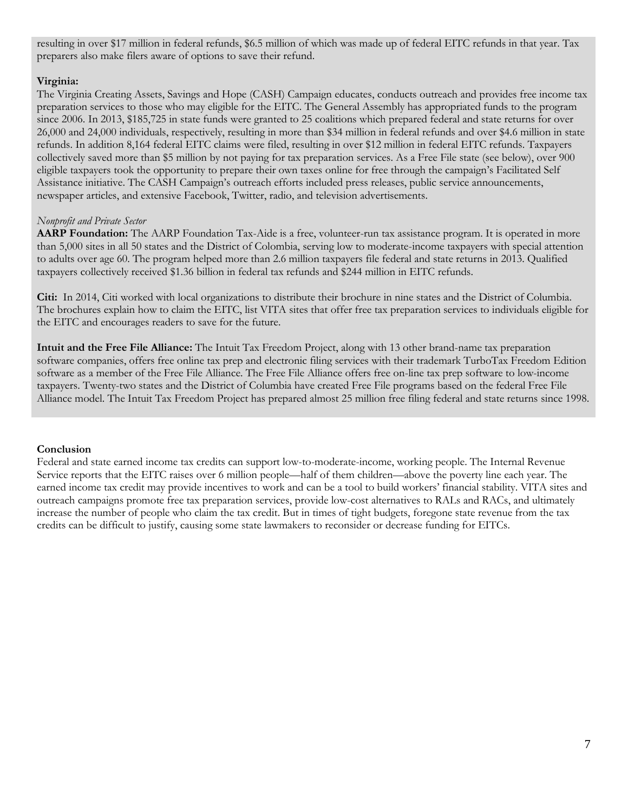resulting in over \$17 million in federal refunds, \$6.5 million of which was made up of federal EITC refunds in that year. Tax preparers also make filers aware of options to save their refund.

## **Virginia:**

The Virginia Creating Assets, Savings and Hope (CASH) Campaign educates, conducts outreach and provides free income tax preparation services to those who may eligible for the EITC. The General Assembly has appropriated funds to the program since 2006. In 2013, \$185,725 in state funds were granted to 25 coalitions which prepared federal and state returns for over 26,000 and 24,000 individuals, respectively, resulting in more than \$34 million in federal refunds and over \$4.6 million in state refunds. In addition 8,164 federal EITC claims were filed, resulting in over \$12 million in federal EITC refunds. Taxpayers collectively saved more than \$5 million by not paying for tax preparation services. As a Free File state (see below), over 900 eligible taxpayers took the opportunity to prepare their own taxes online for free through the campaign's Facilitated Self Assistance initiative. The CASH Campaign's outreach efforts included press releases, public service announcements, newspaper articles, and extensive Facebook, Twitter, radio, and television advertisements.

## *Nonprofit and Private Sector*

AARP Foundation: The AARP Foundation Tax-Aide is a free, volunteer-run tax assistance program. It is operated in more than 5,000 sites in all 50 states and the District of Colombia, serving low to moderate-income taxpayers with special attention to adults over age 60. The program helped more than 2.6 million taxpayers file federal and state returns in 2013. Qualified taxpayers collectively received \$1.36 billion in federal tax refunds and \$244 million in EITC refunds.

**Citi:** In 2014, Citi worked with local organizations to distribute their brochure in nine states and the District of Columbia. The brochures explain how to claim the EITC, list VITA sites that offer free tax preparation services to individuals eligible for the EITC and encourages readers to save for the future.

**Intuit and the Free File Alliance:** The Intuit Tax Freedom Project, along with 13 other brand-name tax preparation software companies, offers free online tax prep and electronic filing services with their trademark TurboTax Freedom Edition software as a member of the Free File Alliance. The Free File Alliance offers free on-line tax prep software to low-income taxpayers. Twenty-two states and the District of Columbia have created Free File programs based on the federal Free File Alliance model. The Intuit Tax Freedom Project has prepared almost 25 million free filing federal and state returns since 1998.

### **Conclusion**

Federal and state earned income tax credits can support low-to-moderate-income, working people. The Internal Revenue Service reports that the EITC raises over 6 million people—half of them children—above the poverty line each year. The earned income tax credit may provide incentives to work and can be a tool to build workers' financial stability. VITA sites and outreach campaigns promote free tax preparation services, provide low-cost alternatives to RALs and RACs, and ultimately increase the number of people who claim the tax credit. But in times of tight budgets, foregone state revenue from the tax credits can be difficult to justify, causing some state lawmakers to reconsider or decrease funding for EITCs.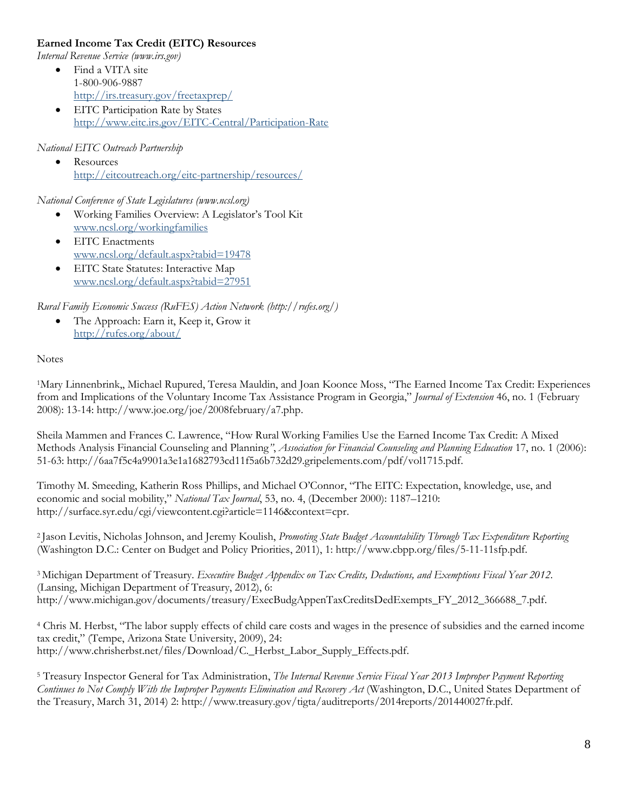## **Earned Income Tax Credit (EITC) Resources**

*Internal Revenue Service (www.irs.gov)*

- Find a VITA site 1-800-906-9887 <http://irs.treasury.gov/freetaxprep/>
- **EITC Participation Rate by States** <http://www.eitc.irs.gov/EITC-Central/Participation-Rate>

### *National EITC Outreach Partnership*

**Resources** <http://eitcoutreach.org/eitc-partnership/resources/>

*National Conference of State Legislatures (www.ncsl.org)*

- Working Families Overview: A Legislator's Tool Kit [www.ncsl.org/workingfamilies](http://www.ncsl.org/workingfamilies)
- EITC Enactments [www.ncsl.org/default.aspx?tabid=19478](http://www.ncsl.org/default.aspx?tabid=19478)
- EITC State Statutes: Interactive Map [www.ncsl.org/default.aspx?tabid=27951](http://www.ncsl.org/default.aspx?tabid=27951)

*Rural Family Economic Success (RuFES) Action Network (http://rufes.org/)*

 The Approach: Earn it, Keep it, Grow it <http://rufes.org/about/>

### **Notes**

<sup>1</sup>Mary Linnenbrink,, Michael Rupured, Teresa Mauldin, and Joan Koonce Moss, "The Earned Income Tax Credit: Experiences from and Implications of the Voluntary Income Tax Assistance Program in Georgia," *Journal of Extension* 46, no. 1 (February 2008): 13-14: http://www.joe.org/joe/2008february/a7.php.

Sheila Mammen and Frances C. Lawrence, "How Rural Working Families Use the Earned Income Tax Credit: A Mixed Methods Analysis Financial Counseling and Planning*"*, *Association for Financial Counseling and Planning Education* 17, no. 1 (2006): 51-63: http://6aa7f5c4a9901a3e1a1682793cd11f5a6b732d29.gripelements.com/pdf/vol1715.pdf.

Timothy M. Smeeding, Katherin Ross Phillips, and Michael O'Connor, "The EITC: Expectation, knowledge, use, and economic and social mobility," *National Tax Journal*, 53, no. 4, (December 2000): 1187–1210: http://surface.syr.edu/cgi/viewcontent.cgi?article=1146&context=cpr.

<sup>2</sup> Jason Levitis, Nicholas Johnson, and Jeremy Koulish, *Promoting State Budget Accountability Through Tax Expenditure Reporting* (Washington D.C.: Center on Budget and Policy Priorities, 2011), 1: http://www.cbpp.org/files/5-11-11sfp.pdf.

<sup>3</sup> Michigan Department of Treasury. *Executive Budget Appendix on Tax Credits, Deductions, and Exemptions Fiscal Year 2012*. (Lansing, Michigan Department of Treasury, 2012), 6: http://www.michigan.gov/documents/treasury/ExecBudgAppenTaxCreditsDedExempts\_FY\_2012\_366688\_7.pdf.

<sup>4</sup> Chris M. Herbst, "The labor supply effects of child care costs and wages in the presence of subsidies and the earned income tax credit," (Tempe, Arizona State University, 2009), 24: http://www.chrisherbst.net/files/Download/C.\_Herbst\_Labor\_Supply\_Effects.pdf.

<sup>5</sup> Treasury Inspector General for Tax Administration, *The Internal Revenue Service Fiscal Year 2013 Improper Payment Reporting Continues to Not Comply With the Improper Payments Elimination and Recovery Act* (Washington, D.C., United States Department of the Treasury, March 31, 2014) 2: http://www.treasury.gov/tigta/auditreports/2014reports/201440027fr.pdf.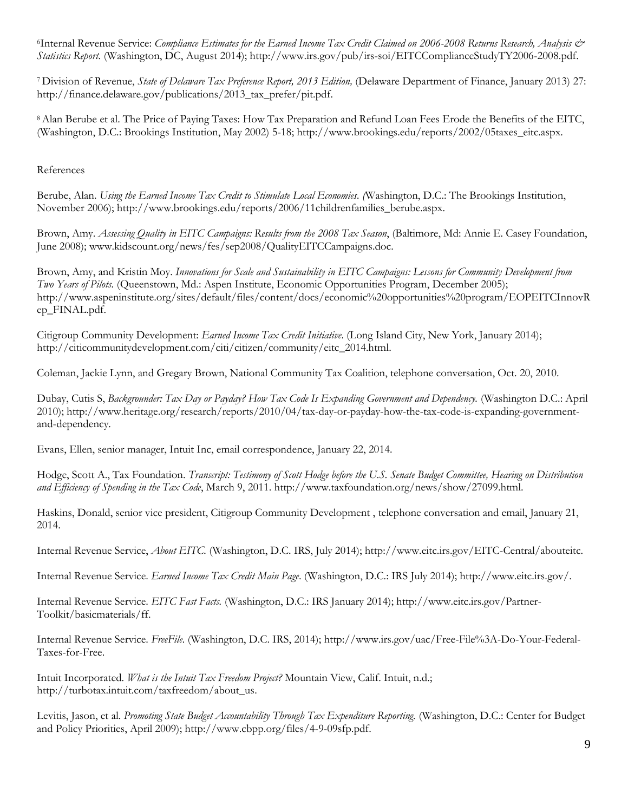<sup>6</sup>Internal Revenue Service: *Compliance Estimates for the Earned Income Tax Credit Claimed on 2006-2008 Returns Research, Analysis & Statistics Report.* (Washington, DC, August 2014); http://www.irs.gov/pub/irs-soi/EITCComplianceStudyTY2006-2008.pdf.

<sup>7</sup> Division of Revenue, *State of Delaware Tax Preference Report, 2013 Edition,* (Delaware Department of Finance, January 2013) 27: http://finance.delaware.gov/publications/2013\_tax\_prefer/pit.pdf.

<sup>8</sup>Alan Berube et al. The Price of Paying Taxes: How Tax Preparation and Refund Loan Fees Erode the Benefits of the EITC, (Washington, D.C.: Brookings Institution, May 2002) 5-18; http://www.brookings.edu/reports/2002/05taxes\_eitc.aspx.

References

Berube, Alan. *Using the Earned Income Tax Credit to Stimulate Local Economies. (*Washington, D.C.: The Brookings Institution, November 2006); http://www.brookings.edu/reports/2006/11childrenfamilies\_berube.aspx.

Brown, Amy. *Assessing Quality in EITC Campaigns: Results from the 2008 Tax Season*, (Baltimore, Md: Annie E. Casey Foundation, June 2008); www.kidscount.org/news/fes/sep2008/QualityEITCCampaigns.doc.

Brown, Amy, and Kristin Moy. *Innovations for Scale and Sustainability in EITC Campaigns: Lessons for Community Development from Two Years of Pilots.* (Queenstown, Md.: Aspen Institute, Economic Opportunities Program, December 2005); http://www.aspeninstitute.org/sites/default/files/content/docs/economic%20opportunities%20program/EOPEITCInnovR ep\_FINAL.pdf.

Citigroup Community Development: *Earned Income Tax Credit Initiative*. (Long Island City, New York, January 2014); http://citicommunitydevelopment.com/citi/citizen/community/eitc\_2014.html.

Coleman, Jackie Lynn, and Gregary Brown, National Community Tax Coalition, telephone conversation, Oct. 20, 2010.

Dubay, Cutis S, *Backgrounder: Tax Day or Payday? How Tax Code Is Expanding Government and Dependency.* (Washington D.C.: April 2010); http://www.heritage.org/research/reports/2010/04/tax-day-or-payday-how-the-tax-code-is-expanding-governmentand-dependency.

Evans, Ellen, senior manager, Intuit Inc, email correspondence, January 22, 2014.

Hodge, Scott A., Tax Foundation. *Transcript: Testimony of Scott Hodge before the U.S. Senate Budget Committee, Hearing on Distribution and Efficiency of Spending in the Tax Code*, March 9, 2011. http://www.taxfoundation.org/news/show/27099.html.

Haskins, Donald, senior vice president, Citigroup Community Development , telephone conversation and email, January 21, 2014.

Internal Revenue Service, *About EITC.* (Washington, D.C. IRS, July 2014); http://www.eitc.irs.gov/EITC-Central/abouteitc.

Internal Revenue Service. *Earned Income Tax Credit Main Page*. (Washington, D.C.: IRS July 2014); http://www.eitc.irs.gov/.

Internal Revenue Service. *EITC Fast Facts.* (Washington, D.C.: IRS January 2014); http://www.eitc.irs.gov/Partner-Toolkit/basicmaterials/ff.

Internal Revenue Service. *FreeFile.* (Washington, D.C. IRS, 2014); http://www.irs.gov/uac/Free-File%3A-Do-Your-Federal-Taxes-for-Free.

Intuit Incorporated. *What is the Intuit Tax Freedom Project?* Mountain View, Calif. Intuit, n.d.; http://turbotax.intuit.com/taxfreedom/about\_us.

Levitis, Jason, et al. *Promoting State Budget Accountability Through Tax Expenditure Reporting.* (Washington, D.C.: Center for Budget and Policy Priorities, April 2009); http://www.cbpp.org/files/4-9-09sfp.pdf.